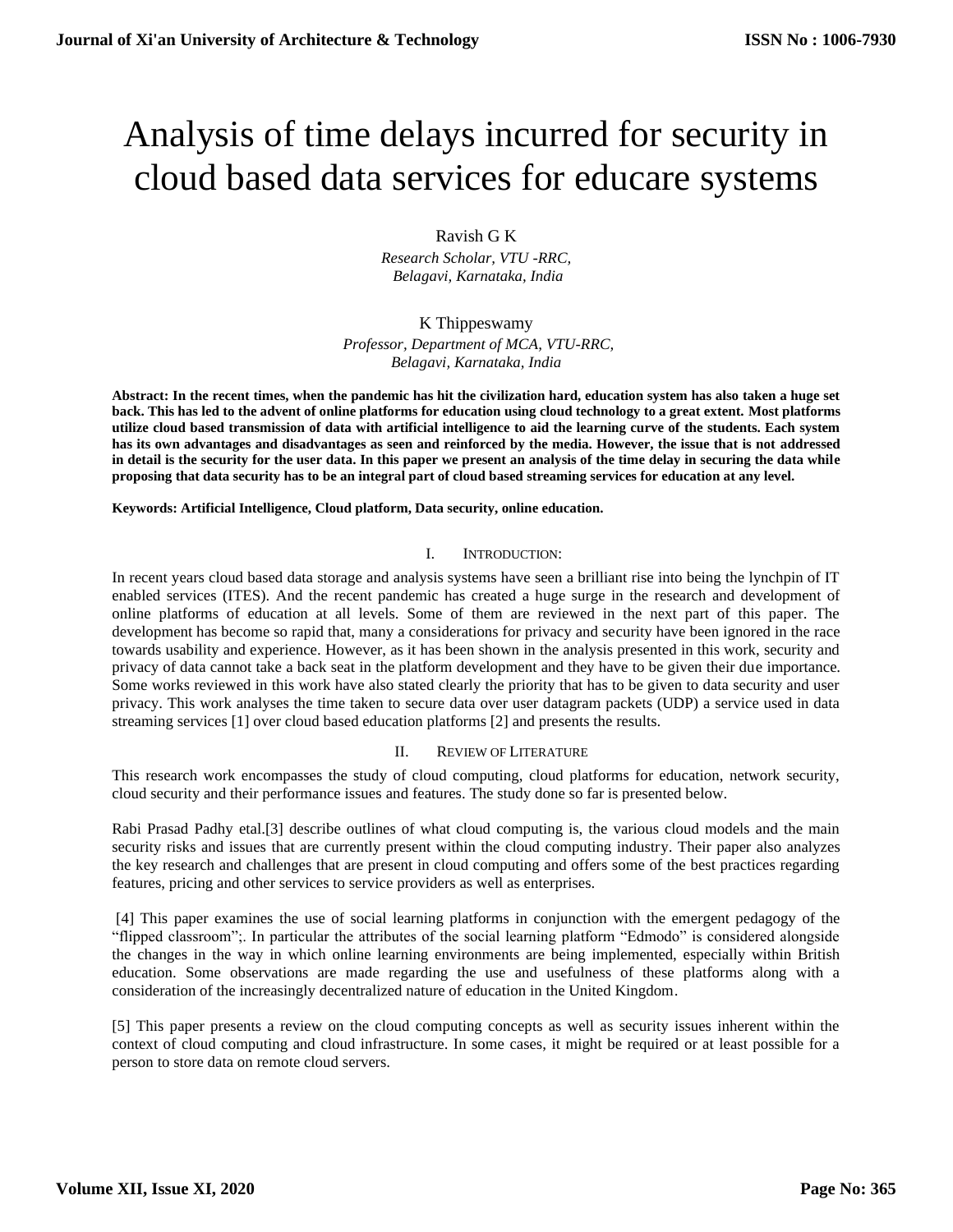# Analysis of time delays incurred for security in cloud based data services for educare systems

## Ravish G K

*Research Scholar, VTU -RRC, Belagavi, Karnataka, India*

K Thippeswamy *Professor, Department of MCA, VTU-RRC, Belagavi, Karnataka, India*

**Abstract: In the recent times, when the pandemic has hit the civilization hard, education system has also taken a huge set back. This has led to the advent of online platforms for education using cloud technology to a great extent. Most platforms utilize cloud based transmission of data with artificial intelligence to aid the learning curve of the students. Each system has its own advantages and disadvantages as seen and reinforced by the media. However, the issue that is not addressed in detail is the security for the user data. In this paper we present an analysis of the time delay in securing the data while proposing that data security has to be an integral part of cloud based streaming services for education at any level.**

### **Keywords: Artificial Intelligence, Cloud platform, Data security, online education.**

### I. INTRODUCTION:

In recent years cloud based data storage and analysis systems have seen a brilliant rise into being the lynchpin of IT enabled services (ITES). And the recent pandemic has created a huge surge in the research and development of online platforms of education at all levels. Some of them are reviewed in the next part of this paper. The development has become so rapid that, many a considerations for privacy and security have been ignored in the race towards usability and experience. However, as it has been shown in the analysis presented in this work, security and privacy of data cannot take a back seat in the platform development and they have to be given their due importance. Some works reviewed in this work have also stated clearly the priority that has to be given to data security and user privacy. This work analyses the time taken to secure data over user datagram packets (UDP) a service used in data streaming services [1] over cloud based education platforms [2] and presents the results.

### II. REVIEW OF LITERATURE

This research work encompasses the study of cloud computing, cloud platforms for education, network security, cloud security and their performance issues and features. The study done so far is presented below.

Rabi Prasad Padhy etal.[3] describe outlines of what cloud computing is, the various cloud models and the main security risks and issues that are currently present within the cloud computing industry. Their paper also analyzes the key research and challenges that are present in cloud computing and offers some of the best practices regarding features, pricing and other services to service providers as well as enterprises.

[4] This paper examines the use of social learning platforms in conjunction with the emergent pedagogy of the "flipped classroom";. In particular the attributes of the social learning platform "Edmodo" is considered alongside the changes in the way in which online learning environments are being implemented, especially within British education. Some observations are made regarding the use and usefulness of these platforms along with a consideration of the increasingly decentralized nature of education in the United Kingdom.

[5] This paper presents a review on the cloud computing concepts as well as security issues inherent within the context of cloud computing and cloud infrastructure. In some cases, it might be required or at least possible for a person to store data on remote cloud servers.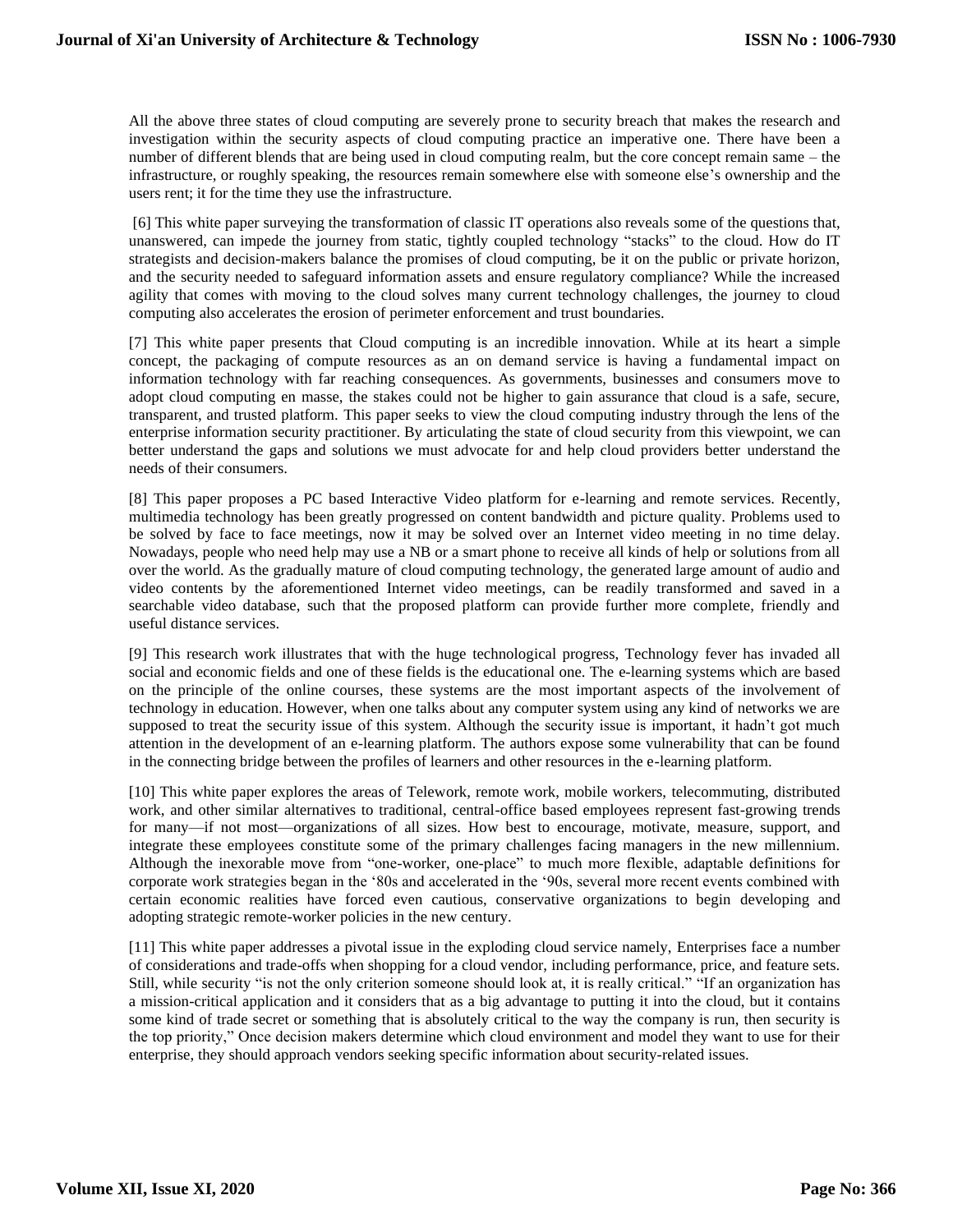All the above three states of cloud computing are severely prone to security breach that makes the research and investigation within the security aspects of cloud computing practice an imperative one. There have been a number of different blends that are being used in cloud computing realm, but the core concept remain same – the infrastructure, or roughly speaking, the resources remain somewhere else with someone else's ownership and the users rent; it for the time they use the infrastructure.

[6] This white paper surveying the transformation of classic IT operations also reveals some of the questions that, unanswered, can impede the journey from static, tightly coupled technology "stacks" to the cloud. How do IT strategists and decision-makers balance the promises of cloud computing, be it on the public or private horizon, and the security needed to safeguard information assets and ensure regulatory compliance? While the increased agility that comes with moving to the cloud solves many current technology challenges, the journey to cloud computing also accelerates the erosion of perimeter enforcement and trust boundaries.

[7] This white paper presents that Cloud computing is an incredible innovation. While at its heart a simple concept, the packaging of compute resources as an on demand service is having a fundamental impact on information technology with far reaching consequences. As governments, businesses and consumers move to adopt cloud computing en masse, the stakes could not be higher to gain assurance that cloud is a safe, secure, transparent, and trusted platform. This paper seeks to view the cloud computing industry through the lens of the enterprise information security practitioner. By articulating the state of cloud security from this viewpoint, we can better understand the gaps and solutions we must advocate for and help cloud providers better understand the needs of their consumers.

[8] This paper proposes a PC based Interactive Video platform for e-learning and remote services. Recently, multimedia technology has been greatly progressed on content bandwidth and picture quality. Problems used to be solved by face to face meetings, now it may be solved over an Internet video meeting in no time delay. Nowadays, people who need help may use a NB or a smart phone to receive all kinds of help or solutions from all over the world. As the gradually mature of cloud computing technology, the generated large amount of audio and video contents by the aforementioned Internet video meetings, can be readily transformed and saved in a searchable video database, such that the proposed platform can provide further more complete, friendly and useful distance services.

[9] This research work illustrates that with the huge technological progress, Technology fever has invaded all social and economic fields and one of these fields is the educational one. The e-learning systems which are based on the principle of the online courses, these systems are the most important aspects of the involvement of technology in education. However, when one talks about any computer system using any kind of networks we are supposed to treat the security issue of this system. Although the security issue is important, it hadn't got much attention in the development of an e-learning platform. The authors expose some vulnerability that can be found in the connecting bridge between the profiles of learners and other resources in the e-learning platform.

[10] This white paper explores the areas of Telework, remote work, mobile workers, telecommuting, distributed work, and other similar alternatives to traditional, central-office based employees represent fast-growing trends for many—if not most—organizations of all sizes. How best to encourage, motivate, measure, support, and integrate these employees constitute some of the primary challenges facing managers in the new millennium. Although the inexorable move from "one-worker, one-place" to much more flexible, adaptable definitions for corporate work strategies began in the '80s and accelerated in the '90s, several more recent events combined with certain economic realities have forced even cautious, conservative organizations to begin developing and adopting strategic remote-worker policies in the new century.

[11] This white paper addresses a pivotal issue in the exploding cloud service namely, Enterprises face a number of considerations and trade-offs when shopping for a cloud vendor, including performance, price, and feature sets. Still, while security "is not the only criterion someone should look at, it is really critical." "If an organization has a mission-critical application and it considers that as a big advantage to putting it into the cloud, but it contains some kind of trade secret or something that is absolutely critical to the way the company is run, then security is the top priority," Once decision makers determine which cloud environment and model they want to use for their enterprise, they should approach vendors seeking specific information about security-related issues.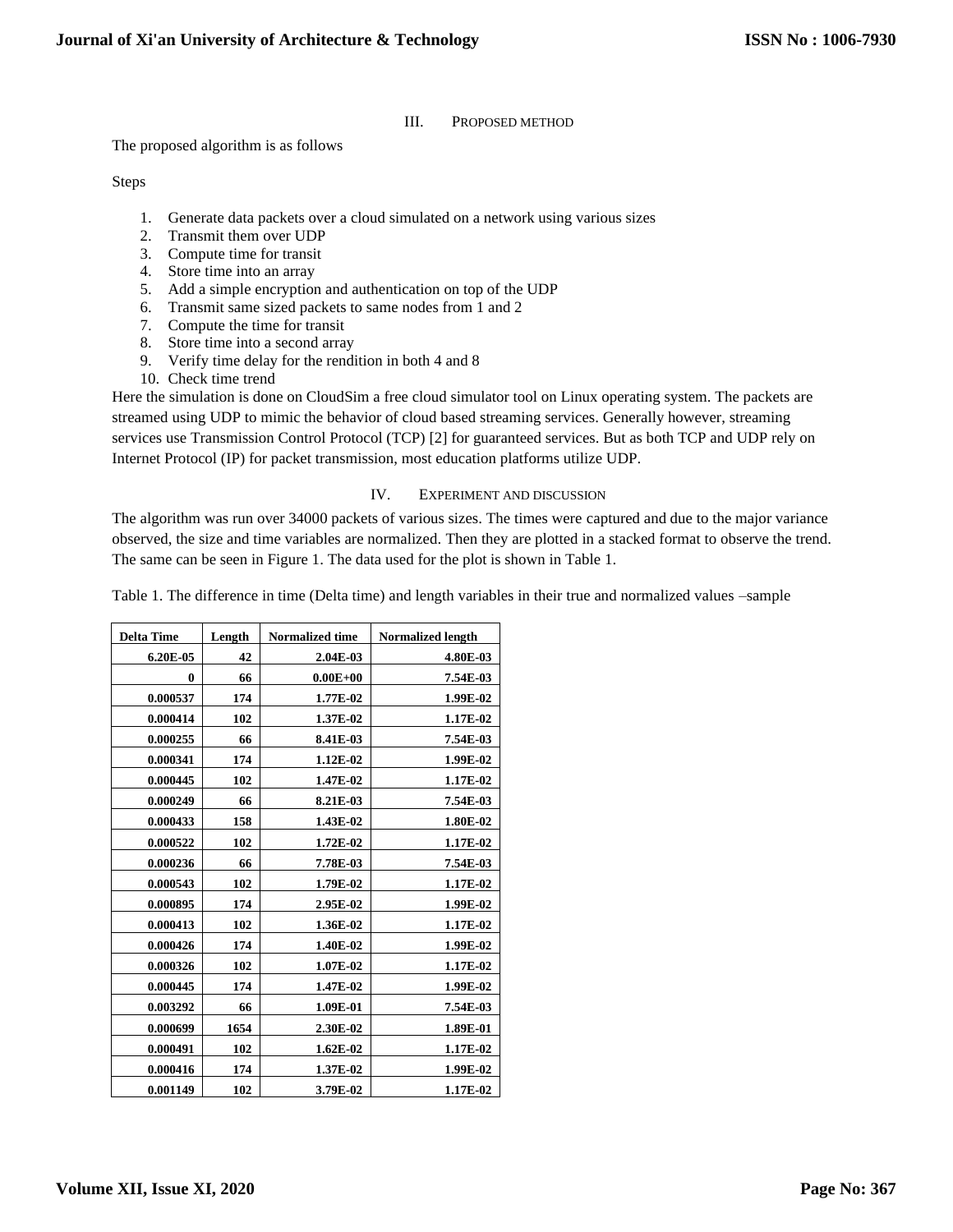## III. PROPOSED METHOD

The proposed algorithm is as follows

Steps

- 1. Generate data packets over a cloud simulated on a network using various sizes
- 2. Transmit them over UDP
- 3. Compute time for transit
- 4. Store time into an array
- 5. Add a simple encryption and authentication on top of the UDP
- 6. Transmit same sized packets to same nodes from 1 and 2
- 7. Compute the time for transit
- 8. Store time into a second array
- 9. Verify time delay for the rendition in both 4 and 8
- 10. Check time trend

Here the simulation is done on CloudSim a free cloud simulator tool on Linux operating system. The packets are streamed using UDP to mimic the behavior of cloud based streaming services. Generally however, streaming services use Transmission Control Protocol (TCP) [2] for guaranteed services. But as both TCP and UDP rely on Internet Protocol (IP) for packet transmission, most education platforms utilize UDP.

## IV. EXPERIMENT AND DISCUSSION

The algorithm was run over 34000 packets of various sizes. The times were captured and due to the major variance observed, the size and time variables are normalized. Then they are plotted in a stacked format to observe the trend. The same can be seen in Figure 1. The data used for the plot is shown in Table 1.

Table 1. The difference in time (Delta time) and length variables in their true and normalized values –sample

| <b>Delta Time</b> | Length | <b>Normalized time</b> | <b>Normalized length</b> |
|-------------------|--------|------------------------|--------------------------|
|                   |        |                        |                          |
| 6.20E-05          | 42     | 2.04E-03               | 4.80E-03                 |
| $\bf{0}$          | 66     | $0.00E + 00$           | 7.54E-03                 |
| 0.000537          | 174    | 1.77E-02               | 1.99E-02                 |
| 0.000414          | 102    | 1.37E-02               | 1.17E-02                 |
| 0.000255          | 66     | 8.41E-03               | 7.54E-03                 |
| 0.000341          | 174    | 1.12E-02               | 1.99E-02                 |
| 0.000445          | 102    | 1.47E-02               | 1.17E-02                 |
| 0.000249          | 66     | 8.21E-03               | 7.54E-03                 |
| 0.000433          | 158    | 1.43E-02               | 1.80E-02                 |
| 0.000522          | 102    | 1.72E-02               | 1.17E-02                 |
| 0.000236          | 66     | 7.78E-03               | 7.54E-03                 |
| 0.000543          | 102    | 1.79E-02               | 1.17E-02                 |
| 0.000895          | 174    | 2.95E-02               | 1.99E-02                 |
| 0.000413          | 102    | 1.36E-02               | 1.17E-02                 |
| 0.000426          | 174    | 1.40E-02               | 1.99E-02                 |
| 0.000326          | 102    | 1.07E-02               | 1.17E-02                 |
| 0.000445          | 174    | 1.47E-02               | 1.99E-02                 |
| 0.003292          | 66     | 1.09E-01               | 7.54E-03                 |
| 0.000699          | 1654   | 2.30E-02               | 1.89E-01                 |
| 0.000491          | 102    | $1.62E-02$             | 1.17E-02                 |
| 0.000416          | 174    | 1.37E-02               | 1.99E-02                 |
| 0.001149          | 102    | 3.79E-02               | 1.17E-02                 |